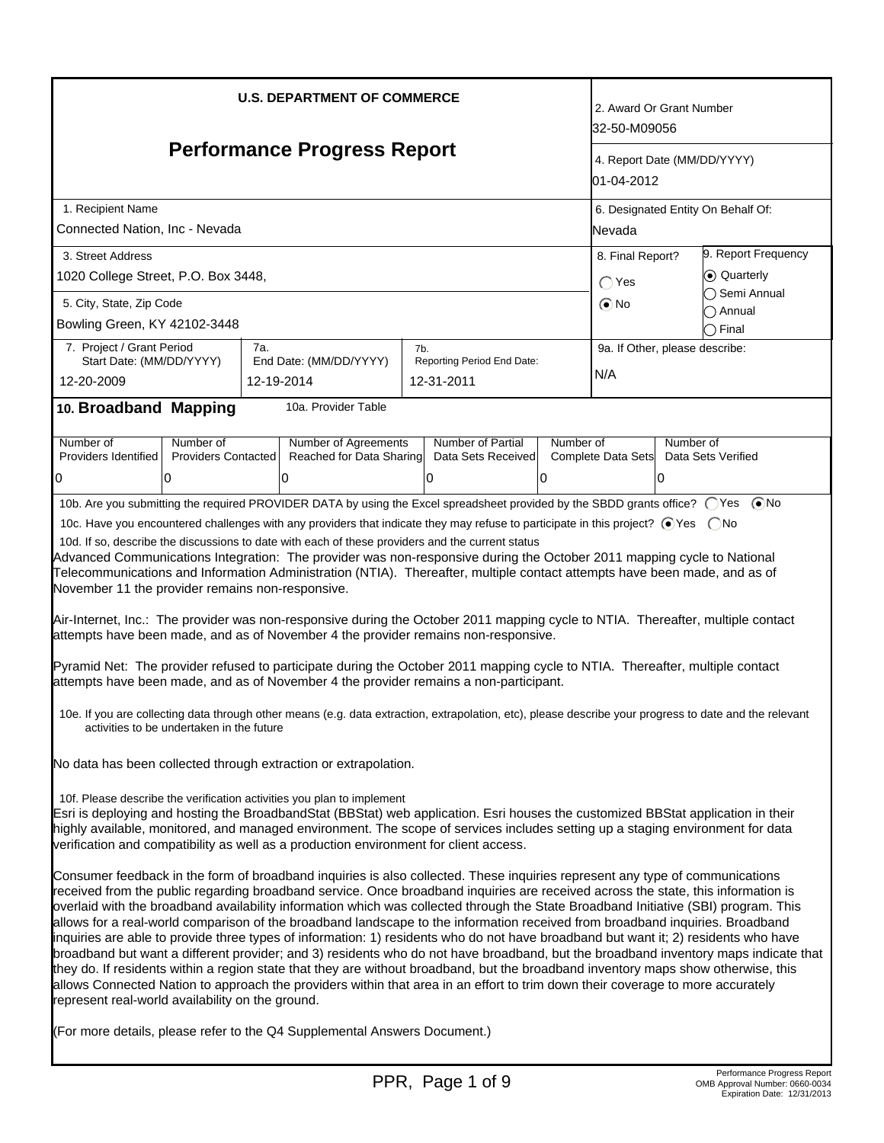| <b>U.S. DEPARTMENT OF COMMERCE</b>                                                                                                                                                                                                                                                                                                                                                                                                                                                                                                                                                                                                                                                                                                                                                                                                                                                                                                                                                                                                                                                                                                                                                                                                                                                                                                                                                                                                                                                                                                                                                                                                                                                                                                                                                                                                                                                                                                                                                                                                                                                                                                                                                                                                                                                                                                                                                                                                                                                                                                                                                                                                                                                                                                                                                                                                                                                                                                                                                                                                                                                                                         |     |                                      |     |                                               |                                           | 2. Award Or Grant Number<br>32-50-M09056                                                  |                |                                    |
|----------------------------------------------------------------------------------------------------------------------------------------------------------------------------------------------------------------------------------------------------------------------------------------------------------------------------------------------------------------------------------------------------------------------------------------------------------------------------------------------------------------------------------------------------------------------------------------------------------------------------------------------------------------------------------------------------------------------------------------------------------------------------------------------------------------------------------------------------------------------------------------------------------------------------------------------------------------------------------------------------------------------------------------------------------------------------------------------------------------------------------------------------------------------------------------------------------------------------------------------------------------------------------------------------------------------------------------------------------------------------------------------------------------------------------------------------------------------------------------------------------------------------------------------------------------------------------------------------------------------------------------------------------------------------------------------------------------------------------------------------------------------------------------------------------------------------------------------------------------------------------------------------------------------------------------------------------------------------------------------------------------------------------------------------------------------------------------------------------------------------------------------------------------------------------------------------------------------------------------------------------------------------------------------------------------------------------------------------------------------------------------------------------------------------------------------------------------------------------------------------------------------------------------------------------------------------------------------------------------------------------------------------------------------------------------------------------------------------------------------------------------------------------------------------------------------------------------------------------------------------------------------------------------------------------------------------------------------------------------------------------------------------------------------------------------------------------------------------------------------------|-----|--------------------------------------|-----|-----------------------------------------------|-------------------------------------------|-------------------------------------------------------------------------------------------|----------------|------------------------------------|
| <b>Performance Progress Report</b>                                                                                                                                                                                                                                                                                                                                                                                                                                                                                                                                                                                                                                                                                                                                                                                                                                                                                                                                                                                                                                                                                                                                                                                                                                                                                                                                                                                                                                                                                                                                                                                                                                                                                                                                                                                                                                                                                                                                                                                                                                                                                                                                                                                                                                                                                                                                                                                                                                                                                                                                                                                                                                                                                                                                                                                                                                                                                                                                                                                                                                                                                         |     |                                      |     |                                               | 4. Report Date (MM/DD/YYYY)<br>01-04-2012 |                                                                                           |                |                                    |
| 1. Recipient Name<br>Connected Nation, Inc - Nevada                                                                                                                                                                                                                                                                                                                                                                                                                                                                                                                                                                                                                                                                                                                                                                                                                                                                                                                                                                                                                                                                                                                                                                                                                                                                                                                                                                                                                                                                                                                                                                                                                                                                                                                                                                                                                                                                                                                                                                                                                                                                                                                                                                                                                                                                                                                                                                                                                                                                                                                                                                                                                                                                                                                                                                                                                                                                                                                                                                                                                                                                        |     |                                      |     |                                               |                                           | Nevada                                                                                    |                | 6. Designated Entity On Behalf Of: |
| 3. Street Address<br>1020 College Street, P.O. Box 3448,                                                                                                                                                                                                                                                                                                                                                                                                                                                                                                                                                                                                                                                                                                                                                                                                                                                                                                                                                                                                                                                                                                                                                                                                                                                                                                                                                                                                                                                                                                                                                                                                                                                                                                                                                                                                                                                                                                                                                                                                                                                                                                                                                                                                                                                                                                                                                                                                                                                                                                                                                                                                                                                                                                                                                                                                                                                                                                                                                                                                                                                                   |     |                                      |     |                                               |                                           | 9. Report Frequency<br>8. Final Report?<br>Co Quarterly<br>$\bigcap$ Yes<br>◯ Semi Annual |                |                                    |
| 5. City, State, Zip Code<br>Bowling Green, KY 42102-3448                                                                                                                                                                                                                                                                                                                                                                                                                                                                                                                                                                                                                                                                                                                                                                                                                                                                                                                                                                                                                                                                                                                                                                                                                                                                                                                                                                                                                                                                                                                                                                                                                                                                                                                                                                                                                                                                                                                                                                                                                                                                                                                                                                                                                                                                                                                                                                                                                                                                                                                                                                                                                                                                                                                                                                                                                                                                                                                                                                                                                                                                   |     |                                      |     |                                               |                                           | $\odot$ No                                                                                |                | Annual<br>$\supset$ Final          |
| 7. Project / Grant Period<br>Start Date: (MM/DD/YYYY)<br>12-20-2009                                                                                                                                                                                                                                                                                                                                                                                                                                                                                                                                                                                                                                                                                                                                                                                                                                                                                                                                                                                                                                                                                                                                                                                                                                                                                                                                                                                                                                                                                                                                                                                                                                                                                                                                                                                                                                                                                                                                                                                                                                                                                                                                                                                                                                                                                                                                                                                                                                                                                                                                                                                                                                                                                                                                                                                                                                                                                                                                                                                                                                                        | 7a. | End Date: (MM/DD/YYYY)<br>12-19-2014 | 7b. | Reporting Period End Date:<br>12-31-2011      |                                           | 9a. If Other, please describe:<br>N/A                                                     |                |                                    |
| 10. Broadband Mapping                                                                                                                                                                                                                                                                                                                                                                                                                                                                                                                                                                                                                                                                                                                                                                                                                                                                                                                                                                                                                                                                                                                                                                                                                                                                                                                                                                                                                                                                                                                                                                                                                                                                                                                                                                                                                                                                                                                                                                                                                                                                                                                                                                                                                                                                                                                                                                                                                                                                                                                                                                                                                                                                                                                                                                                                                                                                                                                                                                                                                                                                                                      |     | 10a. Provider Table                  |     |                                               |                                           |                                                                                           |                |                                    |
| Number of<br>Number of<br>Providers Identified<br>0<br>0                                                                                                                                                                                                                                                                                                                                                                                                                                                                                                                                                                                                                                                                                                                                                                                                                                                                                                                                                                                                                                                                                                                                                                                                                                                                                                                                                                                                                                                                                                                                                                                                                                                                                                                                                                                                                                                                                                                                                                                                                                                                                                                                                                                                                                                                                                                                                                                                                                                                                                                                                                                                                                                                                                                                                                                                                                                                                                                                                                                                                                                                   |     | Number of Agreements<br>١O           |     | Number of Partial<br>Data Sets Received<br>10 | Number of                                 |                                                                                           | Number of<br>0 |                                    |
| <b>Providers Contacted</b><br>Reached for Data Sharing<br>Complete Data Sets<br>Data Sets Verified<br>l0<br>10b. Are you submitting the required PROVIDER DATA by using the Excel spreadsheet provided by the SBDD grants office? ○ Yes ● No<br>10c. Have you encountered challenges with any providers that indicate they may refuse to participate in this project? ⊙Yes  ONo<br>10d. If so, describe the discussions to date with each of these providers and the current status<br>Advanced Communications Integration: The provider was non-responsive during the October 2011 mapping cycle to National<br>Telecommunications and Information Administration (NTIA). Thereafter, multiple contact attempts have been made, and as of<br>November 11 the provider remains non-responsive.<br>Air-Internet, Inc.: The provider was non-responsive during the October 2011 mapping cycle to NTIA. Thereafter, multiple contact<br>attempts have been made, and as of November 4 the provider remains non-responsive.<br>Pyramid Net: The provider refused to participate during the October 2011 mapping cycle to NTIA. Thereafter, multiple contact<br>attempts have been made, and as of November 4 the provider remains a non-participant.<br>10e. If you are collecting data through other means (e.g. data extraction, extrapolation, etc), please describe your progress to date and the relevant<br>activities to be undertaken in the future<br>No data has been collected through extraction or extrapolation.<br>10f. Please describe the verification activities you plan to implement<br>Esri is deploying and hosting the BroadbandStat (BBStat) web application. Esri houses the customized BBStat application in their<br>highly available, monitored, and managed environment. The scope of services includes setting up a staging environment for data<br>verification and compatibility as well as a production environment for client access.<br>Consumer feedback in the form of broadband inquiries is also collected. These inquiries represent any type of communications<br>received from the public regarding broadband service. Once broadband inquiries are received across the state, this information is<br>overlaid with the broadband availability information which was collected through the State Broadband Initiative (SBI) program. This<br>allows for a real-world comparison of the broadband landscape to the information received from broadband inquiries. Broadband<br>inquiries are able to provide three types of information: 1) residents who do not have broadband but want it; 2) residents who have<br>broadband but want a different provider; and 3) residents who do not have broadband, but the broadband inventory maps indicate that<br>they do. If residents within a region state that they are without broadband, but the broadband inventory maps show otherwise, this<br>allows Connected Nation to approach the providers within that area in an effort to trim down their coverage to more accurately<br>represent real-world availability on the ground. |     |                                      |     |                                               |                                           |                                                                                           |                |                                    |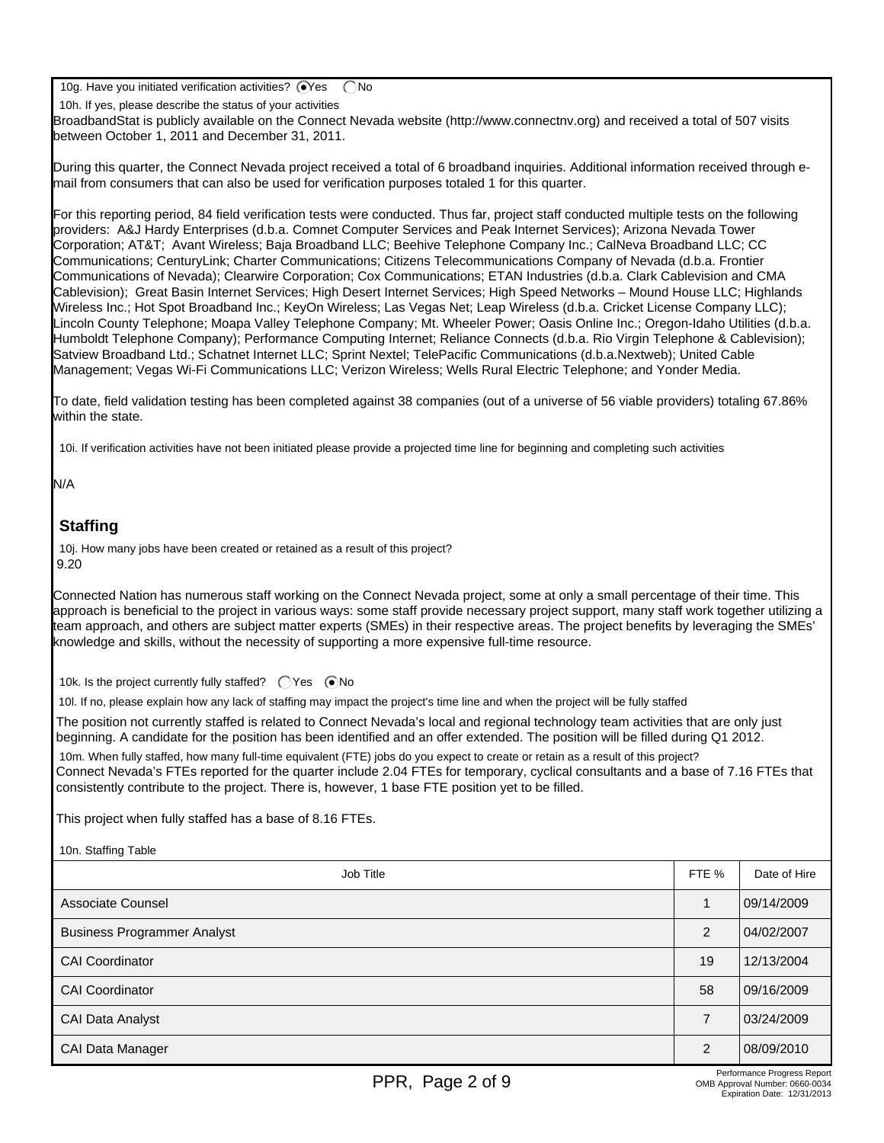10g. Have you initiated verification activities?  $\bigcirc$ Yes  $\bigcirc$  No

10h. If yes, please describe the status of your activities

BroadbandStat is publicly available on the Connect Nevada website (http://www.connectnv.org) and received a total of 507 visits between October 1, 2011 and December 31, 2011.

During this quarter, the Connect Nevada project received a total of 6 broadband inquiries. Additional information received through email from consumers that can also be used for verification purposes totaled 1 for this quarter.

For this reporting period, 84 field verification tests were conducted. Thus far, project staff conducted multiple tests on the following providers: A&J Hardy Enterprises (d.b.a. Comnet Computer Services and Peak Internet Services); Arizona Nevada Tower Corporation; AT&T; Avant Wireless; Baja Broadband LLC; Beehive Telephone Company Inc.; CalNeva Broadband LLC; CC Communications; CenturyLink; Charter Communications; Citizens Telecommunications Company of Nevada (d.b.a. Frontier Communications of Nevada); Clearwire Corporation; Cox Communications; ETAN Industries (d.b.a. Clark Cablevision and CMA Cablevision); Great Basin Internet Services; High Desert Internet Services; High Speed Networks – Mound House LLC; Highlands Wireless Inc.; Hot Spot Broadband Inc.; KeyOn Wireless; Las Vegas Net; Leap Wireless (d.b.a. Cricket License Company LLC); Lincoln County Telephone; Moapa Valley Telephone Company; Mt. Wheeler Power; Oasis Online Inc.; Oregon-Idaho Utilities (d.b.a. Humboldt Telephone Company); Performance Computing Internet; Reliance Connects (d.b.a. Rio Virgin Telephone & Cablevision); Satview Broadband Ltd.; Schatnet Internet LLC; Sprint Nextel; TelePacific Communications (d.b.a.Nextweb); United Cable Management; Vegas Wi-Fi Communications LLC; Verizon Wireless; Wells Rural Electric Telephone; and Yonder Media.

To date, field validation testing has been completed against 38 companies (out of a universe of 56 viable providers) totaling 67.86% within the state.

10i. If verification activities have not been initiated please provide a projected time line for beginning and completing such activities

N/A

## **Staffing**

 $10<sub>n</sub>$  Staffing Table

10j. How many jobs have been created or retained as a result of this project? 9.20

Connected Nation has numerous staff working on the Connect Nevada project, some at only a small percentage of their time. This approach is beneficial to the project in various ways: some staff provide necessary project support, many staff work together utilizing a team approach, and others are subject matter experts (SMEs) in their respective areas. The project benefits by leveraging the SMEs' knowledge and skills, without the necessity of supporting a more expensive full-time resource.

10k. Is the project currently fully staffed?  $\bigcap$  Yes  $\bigcirc$  No

10l. If no, please explain how any lack of staffing may impact the project's time line and when the project will be fully staffed

The position not currently staffed is related to Connect Nevada's local and regional technology team activities that are only just beginning. A candidate for the position has been identified and an offer extended. The position will be filled during Q1 2012. 10m. When fully staffed, how many full-time equivalent (FTE) jobs do you expect to create or retain as a result of this project? Connect Nevada's FTEs reported for the quarter include 2.04 FTEs for temporary, cyclical consultants and a base of 7.16 FTEs that consistently contribute to the project. There is, however, 1 base FTE position yet to be filled.

This project when fully staffed has a base of 8.16 FTEs.

| <b>TUIL Staffing Table</b>         |                |              |
|------------------------------------|----------------|--------------|
| Job Title                          | FTE %          | Date of Hire |
| Associate Counsel                  |                | 09/14/2009   |
| <b>Business Programmer Analyst</b> | $\mathcal{P}$  | 04/02/2007   |
| <b>CAI Coordinator</b>             | 19             | 12/13/2004   |
| <b>CAI Coordinator</b>             | 58             | 09/16/2009   |
| CAI Data Analyst                   | $\overline{7}$ | 03/24/2009   |
| CAI Data Manager                   | $\mathcal{P}$  | 08/09/2010   |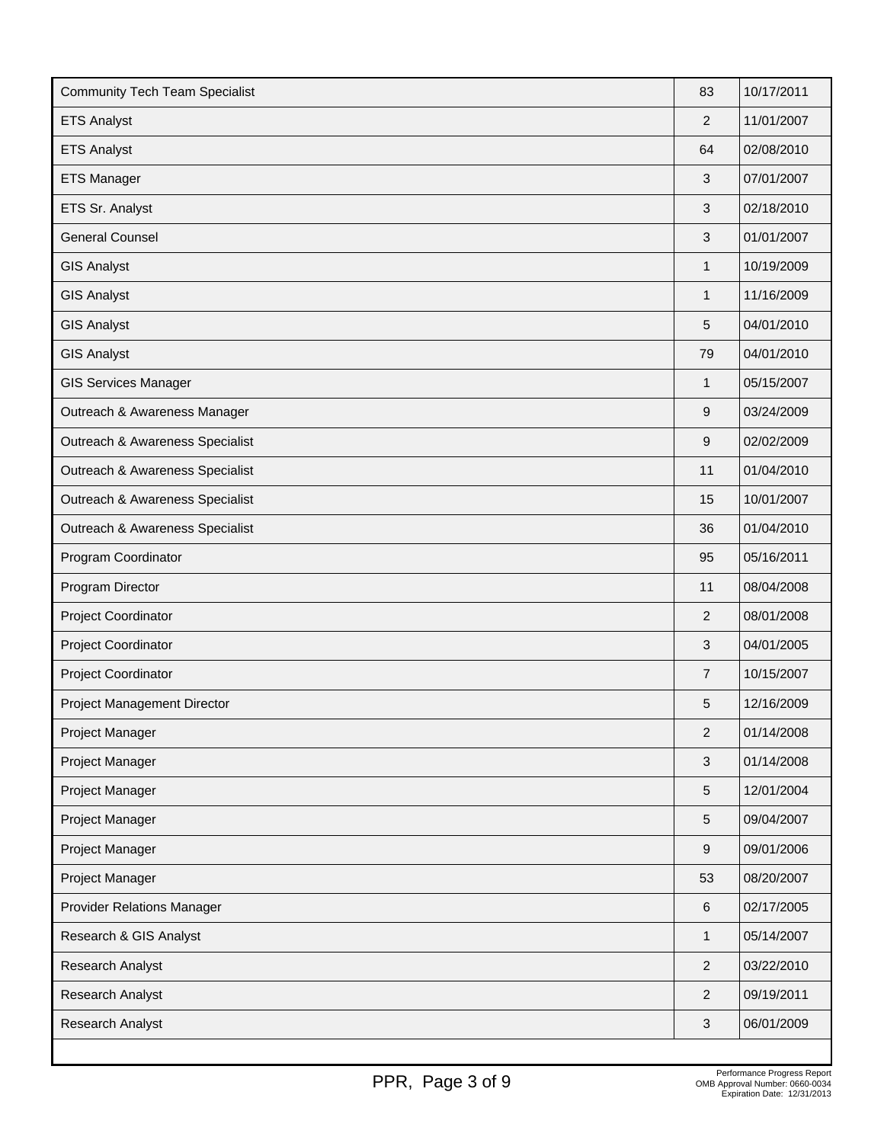| <b>Community Tech Team Specialist</b> | 83             | 10/17/2011 |
|---------------------------------------|----------------|------------|
| <b>ETS Analyst</b>                    | $\overline{2}$ | 11/01/2007 |
| <b>ETS Analyst</b>                    | 64             | 02/08/2010 |
| <b>ETS Manager</b>                    | 3              | 07/01/2007 |
| ETS Sr. Analyst                       | 3              | 02/18/2010 |
| <b>General Counsel</b>                | 3              | 01/01/2007 |
| <b>GIS Analyst</b>                    | $\mathbf{1}$   | 10/19/2009 |
| <b>GIS Analyst</b>                    | $\mathbf{1}$   | 11/16/2009 |
| <b>GIS Analyst</b>                    | 5              | 04/01/2010 |
| <b>GIS Analyst</b>                    | 79             | 04/01/2010 |
| <b>GIS Services Manager</b>           | 1              | 05/15/2007 |
| Outreach & Awareness Manager          | 9              | 03/24/2009 |
| Outreach & Awareness Specialist       | 9              | 02/02/2009 |
| Outreach & Awareness Specialist       | 11             | 01/04/2010 |
| Outreach & Awareness Specialist       | 15             | 10/01/2007 |
| Outreach & Awareness Specialist       | 36             | 01/04/2010 |
| Program Coordinator                   | 95             | 05/16/2011 |
| Program Director                      | 11             | 08/04/2008 |
| Project Coordinator                   | 2              | 08/01/2008 |
| Project Coordinator                   | 3              | 04/01/2005 |
| Project Coordinator                   | $\overline{7}$ | 10/15/2007 |
| Project Management Director           | 5              | 12/16/2009 |
| Project Manager                       | 2              | 01/14/2008 |
| Project Manager                       | 3              | 01/14/2008 |
| Project Manager                       | 5              | 12/01/2004 |
| Project Manager                       | 5              | 09/04/2007 |
| Project Manager                       | 9              | 09/01/2006 |
| Project Manager                       | 53             | 08/20/2007 |
| <b>Provider Relations Manager</b>     | 6              | 02/17/2005 |
| Research & GIS Analyst                | $\mathbf{1}$   | 05/14/2007 |
| Research Analyst                      | $\overline{2}$ | 03/22/2010 |
| Research Analyst                      | $\overline{c}$ | 09/19/2011 |
| Research Analyst                      | 3              | 06/01/2009 |
|                                       |                |            |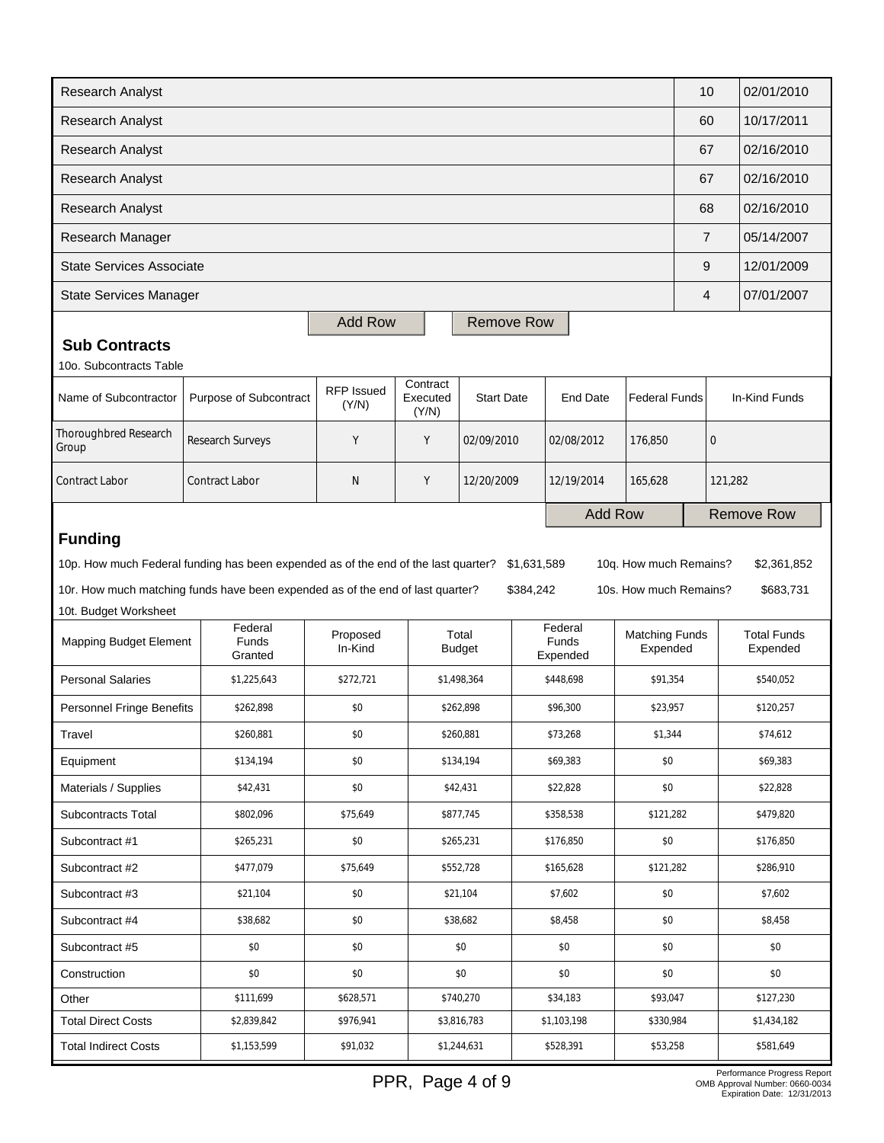| <b>Research Analyst</b>                                                                                                                    |                                               |                            |                       |                        |                        |                              |                                   | 10                | 02/01/2010                     |
|--------------------------------------------------------------------------------------------------------------------------------------------|-----------------------------------------------|----------------------------|-----------------------|------------------------|------------------------|------------------------------|-----------------------------------|-------------------|--------------------------------|
| <b>Research Analyst</b>                                                                                                                    |                                               |                            |                       |                        |                        |                              |                                   |                   | 10/17/2011                     |
| <b>Research Analyst</b>                                                                                                                    |                                               |                            |                       |                        |                        |                              |                                   | 67                | 02/16/2010                     |
| <b>Research Analyst</b>                                                                                                                    |                                               |                            |                       |                        |                        |                              |                                   | 67                | 02/16/2010                     |
| Research Analyst                                                                                                                           |                                               |                            |                       |                        |                        |                              |                                   | 68                | 02/16/2010                     |
| Research Manager                                                                                                                           |                                               |                            |                       |                        |                        |                              |                                   | $\overline{7}$    | 05/14/2007                     |
| <b>State Services Associate</b>                                                                                                            |                                               |                            |                       |                        |                        |                              |                                   | 9                 | 12/01/2009                     |
| <b>State Services Manager</b>                                                                                                              |                                               |                            |                       |                        |                        |                              |                                   | 4                 | 07/01/2007                     |
|                                                                                                                                            |                                               | <b>Add Row</b>             |                       | <b>Remove Row</b>      |                        |                              |                                   |                   |                                |
| <b>Sub Contracts</b>                                                                                                                       |                                               |                            |                       |                        |                        |                              |                                   |                   |                                |
| 10o. Subcontracts Table                                                                                                                    |                                               |                            | Contract              |                        |                        |                              |                                   |                   |                                |
| Name of Subcontractor                                                                                                                      | Purpose of Subcontract                        | <b>RFP Issued</b><br>(Y/N) | Executed<br>(Y/N)     | <b>Start Date</b>      |                        | <b>End Date</b>              | <b>Federal Funds</b>              |                   | In-Kind Funds                  |
| Thoroughbred Research<br>Group                                                                                                             | Research Surveys                              | Y                          | Y                     | 02/09/2010             |                        | 02/08/2012                   | 176,850                           | $\mathbf 0$       |                                |
| <b>Contract Labor</b>                                                                                                                      | Y<br><b>Contract Labor</b><br>N<br>12/20/2009 |                            | 12/19/2014<br>165,628 |                        |                        | 121,282                      |                                   |                   |                                |
|                                                                                                                                            |                                               |                            |                       |                        | <b>Add Row</b>         |                              |                                   | <b>Remove Row</b> |                                |
| <b>Funding</b>                                                                                                                             |                                               |                            |                       |                        |                        |                              |                                   |                   |                                |
| 10p. How much Federal funding has been expended as of the end of the last quarter?<br>\$1,631,589<br>10q. How much Remains?<br>\$2,361,852 |                                               |                            |                       |                        |                        |                              |                                   |                   |                                |
| 10r. How much matching funds have been expended as of the end of last quarter?<br>10s. How much Remains?<br>\$683,731<br>\$384,242         |                                               |                            |                       |                        |                        |                              |                                   |                   |                                |
| 10t. Budget Worksheet                                                                                                                      |                                               |                            |                       |                        |                        |                              |                                   |                   |                                |
| <b>Mapping Budget Element</b>                                                                                                              | Federal<br><b>Funds</b><br>Granted            | Proposed<br>In-Kind        |                       | Total<br><b>Budget</b> |                        | Federal<br>Funds<br>Expended | <b>Matching Funds</b><br>Expended |                   | <b>Total Funds</b><br>Expended |
| <b>Personal Salaries</b>                                                                                                                   | \$1,225,643                                   | \$272,721                  |                       | \$1,498,364            |                        | \$448,698                    | \$91,354                          |                   | \$540,052                      |
| Personnel Fringe Benefits                                                                                                                  | \$262,898                                     | \$0                        |                       | \$262,898              |                        | \$96,300                     | \$23,957                          |                   | \$120,257                      |
| Travel                                                                                                                                     | \$260,881                                     | \$0                        |                       | \$260,881              |                        | \$73,268<br>\$1,344          |                                   |                   | \$74,612                       |
| Equipment                                                                                                                                  | \$134,194                                     | \$0                        |                       | \$134,194              |                        | \$0<br>\$69,383              |                                   |                   | \$69,383                       |
| Materials / Supplies                                                                                                                       | \$42,431<br>\$0<br>\$42,431                   |                            |                       | \$22,828               |                        | \$0                          |                                   | \$22,828          |                                |
| Subcontracts Total                                                                                                                         | \$802,096<br>\$75,649<br>\$877,745            |                            |                       |                        | \$358,538<br>\$121,282 |                              |                                   | \$479,820         |                                |
| Subcontract #1                                                                                                                             | \$265,231                                     | \$0                        | \$265,231             |                        |                        | \$176,850<br>\$0             |                                   |                   | \$176,850                      |
| Subcontract #2                                                                                                                             | \$477,079                                     | \$75,649                   | \$552,728             |                        |                        | \$121,282<br>\$165,628       |                                   |                   | \$286,910                      |
| Subcontract #3                                                                                                                             | \$21,104                                      | \$0                        |                       | \$21,104<br>\$7,602    |                        | \$0                          |                                   | \$7,602           |                                |
| Subcontract #4<br>\$38,682<br>\$0                                                                                                          |                                               |                            | \$38,682              |                        | \$8,458                | \$0                          |                                   | \$8,458           |                                |
| \$0<br>Subcontract #5                                                                                                                      |                                               | \$0                        | \$0                   |                        | \$0                    |                              | \$0                               |                   | \$0                            |
| Construction                                                                                                                               |                                               |                            |                       | \$0                    |                        | \$0                          | \$0                               |                   |                                |
| \$111,699<br>\$628,571<br>Other                                                                                                            |                                               | \$0                        |                       |                        |                        |                              |                                   |                   | \$0                            |
|                                                                                                                                            | \$0                                           |                            |                       | \$740,270              |                        | \$34,183                     | \$93,047                          |                   | \$127,230                      |
| <b>Total Direct Costs</b>                                                                                                                  | \$2,839,842                                   | \$976,941                  |                       | \$3,816,783            |                        | \$1,103,198                  | \$330,984                         |                   | \$1,434,182                    |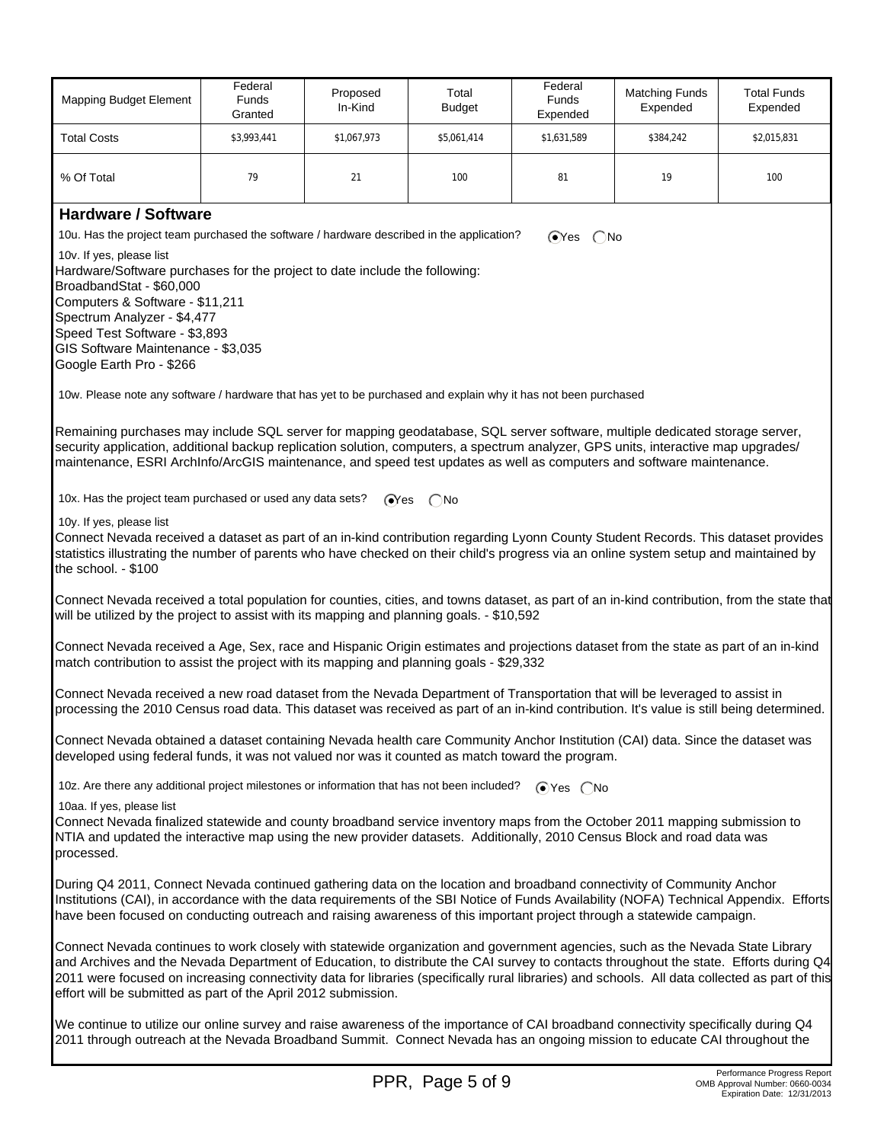| <b>Mapping Budget Element</b>                                                                                                                                                                                                                                                                                                                                                               | Federal<br><b>Funds</b><br>Granted                                                                                                                                                                                                                                                                                                                                                                                                                                                          | Proposed<br>In-Kind | Total<br><b>Budget</b> | Federal<br>Funds<br>Expended | <b>Matching Funds</b><br>Expended | <b>Total Funds</b><br>Expended |  |
|---------------------------------------------------------------------------------------------------------------------------------------------------------------------------------------------------------------------------------------------------------------------------------------------------------------------------------------------------------------------------------------------|---------------------------------------------------------------------------------------------------------------------------------------------------------------------------------------------------------------------------------------------------------------------------------------------------------------------------------------------------------------------------------------------------------------------------------------------------------------------------------------------|---------------------|------------------------|------------------------------|-----------------------------------|--------------------------------|--|
| <b>Total Costs</b>                                                                                                                                                                                                                                                                                                                                                                          | \$3,993,441                                                                                                                                                                                                                                                                                                                                                                                                                                                                                 | \$1,067,973         | \$5,061,414            | \$1,631,589                  | \$384,242                         | \$2,015,831                    |  |
| % Of Total                                                                                                                                                                                                                                                                                                                                                                                  | 79                                                                                                                                                                                                                                                                                                                                                                                                                                                                                          | 21                  | 100                    | 81                           | 19                                | 100                            |  |
| <b>Hardware / Software</b>                                                                                                                                                                                                                                                                                                                                                                  |                                                                                                                                                                                                                                                                                                                                                                                                                                                                                             |                     |                        |                              |                                   |                                |  |
| 10u. Has the project team purchased the software / hardware described in the application?                                                                                                                                                                                                                                                                                                   |                                                                                                                                                                                                                                                                                                                                                                                                                                                                                             |                     |                        | $OYes$ $ONo$                 |                                   |                                |  |
| 10v. If yes, please list<br>Hardware/Software purchases for the project to date include the following:<br>BroadbandStat - \$60,000<br>Computers & Software - \$11,211<br>Spectrum Analyzer - \$4,477<br>Speed Test Software - \$3,893<br>GIS Software Maintenance - \$3,035<br>Google Earth Pro - \$266                                                                                     |                                                                                                                                                                                                                                                                                                                                                                                                                                                                                             |                     |                        |                              |                                   |                                |  |
| 10w. Please note any software / hardware that has yet to be purchased and explain why it has not been purchased                                                                                                                                                                                                                                                                             |                                                                                                                                                                                                                                                                                                                                                                                                                                                                                             |                     |                        |                              |                                   |                                |  |
| Remaining purchases may include SQL server for mapping geodatabase, SQL server software, multiple dedicated storage server,<br>security application, additional backup replication solution, computers, a spectrum analyzer, GPS units, interactive map upgrades/<br>maintenance, ESRI ArchInfo/ArcGIS maintenance, and speed test updates as well as computers and software maintenance.   |                                                                                                                                                                                                                                                                                                                                                                                                                                                                                             |                     |                        |                              |                                   |                                |  |
| 10x. Has the project team purchased or used any data sets?                                                                                                                                                                                                                                                                                                                                  |                                                                                                                                                                                                                                                                                                                                                                                                                                                                                             | ⊙Yes                | $($ $)$ No             |                              |                                   |                                |  |
| 10y. If yes, please list<br>Connect Nevada received a dataset as part of an in-kind contribution regarding Lyonn County Student Records. This dataset provides<br>statistics illustrating the number of parents who have checked on their child's progress via an online system setup and maintained by<br>the school. - \$100                                                              |                                                                                                                                                                                                                                                                                                                                                                                                                                                                                             |                     |                        |                              |                                   |                                |  |
| Connect Nevada received a total population for counties, cities, and towns dataset, as part of an in-kind contribution, from the state that<br>will be utilized by the project to assist with its mapping and planning goals. - \$10,592                                                                                                                                                    |                                                                                                                                                                                                                                                                                                                                                                                                                                                                                             |                     |                        |                              |                                   |                                |  |
| Connect Nevada received a Age, Sex, race and Hispanic Origin estimates and projections dataset from the state as part of an in-kind<br>match contribution to assist the project with its mapping and planning goals - \$29,332                                                                                                                                                              |                                                                                                                                                                                                                                                                                                                                                                                                                                                                                             |                     |                        |                              |                                   |                                |  |
| Connect Nevada received a new road dataset from the Nevada Department of Transportation that will be leveraged to assist in<br>processing the 2010 Census road data. This dataset was received as part of an in-kind contribution. It's value is still being determined.                                                                                                                    |                                                                                                                                                                                                                                                                                                                                                                                                                                                                                             |                     |                        |                              |                                   |                                |  |
| Connect Nevada obtained a dataset containing Nevada health care Community Anchor Institution (CAI) data. Since the dataset was<br>developed using federal funds, it was not valued nor was it counted as match toward the program.                                                                                                                                                          |                                                                                                                                                                                                                                                                                                                                                                                                                                                                                             |                     |                        |                              |                                   |                                |  |
| 10z. Are there any additional project milestones or information that has not been included?<br>$\bigcirc$ Yes $\bigcirc$ No                                                                                                                                                                                                                                                                 |                                                                                                                                                                                                                                                                                                                                                                                                                                                                                             |                     |                        |                              |                                   |                                |  |
| 10aa. If yes, please list<br>Connect Nevada finalized statewide and county broadband service inventory maps from the October 2011 mapping submission to<br>NTIA and updated the interactive map using the new provider datasets. Additionally, 2010 Census Block and road data was<br>processed.                                                                                            |                                                                                                                                                                                                                                                                                                                                                                                                                                                                                             |                     |                        |                              |                                   |                                |  |
| During Q4 2011, Connect Nevada continued gathering data on the location and broadband connectivity of Community Anchor<br>Institutions (CAI), in accordance with the data requirements of the SBI Notice of Funds Availability (NOFA) Technical Appendix. Efforts<br>have been focused on conducting outreach and raising awareness of this important project through a statewide campaign. |                                                                                                                                                                                                                                                                                                                                                                                                                                                                                             |                     |                        |                              |                                   |                                |  |
|                                                                                                                                                                                                                                                                                                                                                                                             | Connect Nevada continues to work closely with statewide organization and government agencies, such as the Nevada State Library<br>and Archives and the Nevada Department of Education, to distribute the CAI survey to contacts throughout the state. Efforts during Q4<br>2011 were focused on increasing connectivity data for libraries (specifically rural libraries) and schools. All data collected as part of this<br>effort will be submitted as part of the April 2012 submission. |                     |                        |                              |                                   |                                |  |
| We continue to utilize our online survey and raise awareness of the importance of CAI broadband connectivity specifically during Q4<br>2011 through outreach at the Nevada Broadband Summit. Connect Nevada has an ongoing mission to educate CAI throughout the                                                                                                                            |                                                                                                                                                                                                                                                                                                                                                                                                                                                                                             |                     |                        |                              |                                   |                                |  |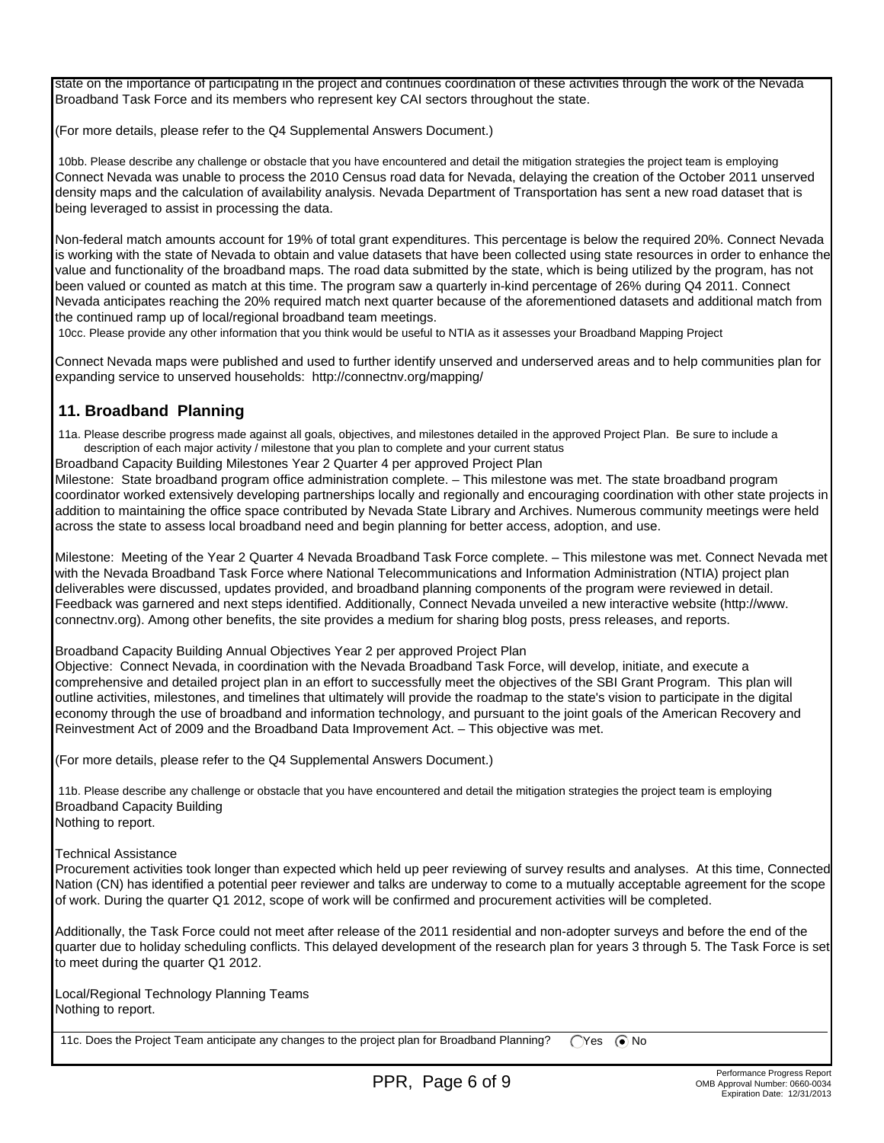state on the importance of participating in the project and continues coordination of these activities through the work of the Nevada Broadband Task Force and its members who represent key CAI sectors throughout the state.

(For more details, please refer to the Q4 Supplemental Answers Document.)

 10bb. Please describe any challenge or obstacle that you have encountered and detail the mitigation strategies the project team is employing Connect Nevada was unable to process the 2010 Census road data for Nevada, delaying the creation of the October 2011 unserved density maps and the calculation of availability analysis. Nevada Department of Transportation has sent a new road dataset that is being leveraged to assist in processing the data.

Non-federal match amounts account for 19% of total grant expenditures. This percentage is below the required 20%. Connect Nevada is working with the state of Nevada to obtain and value datasets that have been collected using state resources in order to enhance the value and functionality of the broadband maps. The road data submitted by the state, which is being utilized by the program, has not been valued or counted as match at this time. The program saw a quarterly in-kind percentage of 26% during Q4 2011. Connect Nevada anticipates reaching the 20% required match next quarter because of the aforementioned datasets and additional match from the continued ramp up of local/regional broadband team meetings.

10cc. Please provide any other information that you think would be useful to NTIA as it assesses your Broadband Mapping Project

Connect Nevada maps were published and used to further identify unserved and underserved areas and to help communities plan for expanding service to unserved households: http://connectnv.org/mapping/

## **11. Broadband Planning**

 11a. Please describe progress made against all goals, objectives, and milestones detailed in the approved Project Plan. Be sure to include a description of each major activity / milestone that you plan to complete and your current status

Broadband Capacity Building Milestones Year 2 Quarter 4 per approved Project Plan

Milestone: State broadband program office administration complete. – This milestone was met. The state broadband program coordinator worked extensively developing partnerships locally and regionally and encouraging coordination with other state projects in addition to maintaining the office space contributed by Nevada State Library and Archives. Numerous community meetings were held across the state to assess local broadband need and begin planning for better access, adoption, and use.

Milestone: Meeting of the Year 2 Quarter 4 Nevada Broadband Task Force complete. – This milestone was met. Connect Nevada met with the Nevada Broadband Task Force where National Telecommunications and Information Administration (NTIA) project plan deliverables were discussed, updates provided, and broadband planning components of the program were reviewed in detail. Feedback was garnered and next steps identified. Additionally, Connect Nevada unveiled a new interactive website (http://www. connectnv.org). Among other benefits, the site provides a medium for sharing blog posts, press releases, and reports.

Broadband Capacity Building Annual Objectives Year 2 per approved Project Plan

Objective: Connect Nevada, in coordination with the Nevada Broadband Task Force, will develop, initiate, and execute a comprehensive and detailed project plan in an effort to successfully meet the objectives of the SBI Grant Program. This plan will outline activities, milestones, and timelines that ultimately will provide the roadmap to the state's vision to participate in the digital economy through the use of broadband and information technology, and pursuant to the joint goals of the American Recovery and Reinvestment Act of 2009 and the Broadband Data Improvement Act. – This objective was met.

(For more details, please refer to the Q4 Supplemental Answers Document.)

 11b. Please describe any challenge or obstacle that you have encountered and detail the mitigation strategies the project team is employing Broadband Capacity Building Nothing to report.

Technical Assistance

Procurement activities took longer than expected which held up peer reviewing of survey results and analyses. At this time, Connected Nation (CN) has identified a potential peer reviewer and talks are underway to come to a mutually acceptable agreement for the scope of work. During the quarter Q1 2012, scope of work will be confirmed and procurement activities will be completed.

Additionally, the Task Force could not meet after release of the 2011 residential and non-adopter surveys and before the end of the quarter due to holiday scheduling conflicts. This delayed development of the research plan for years 3 through 5. The Task Force is set to meet during the quarter Q1 2012.

Local/Regional Technology Planning Teams Nothing to report.

11c. Does the Project Team anticipate any changes to the project plan for Broadband Planning? (Yes ( $\bullet$  No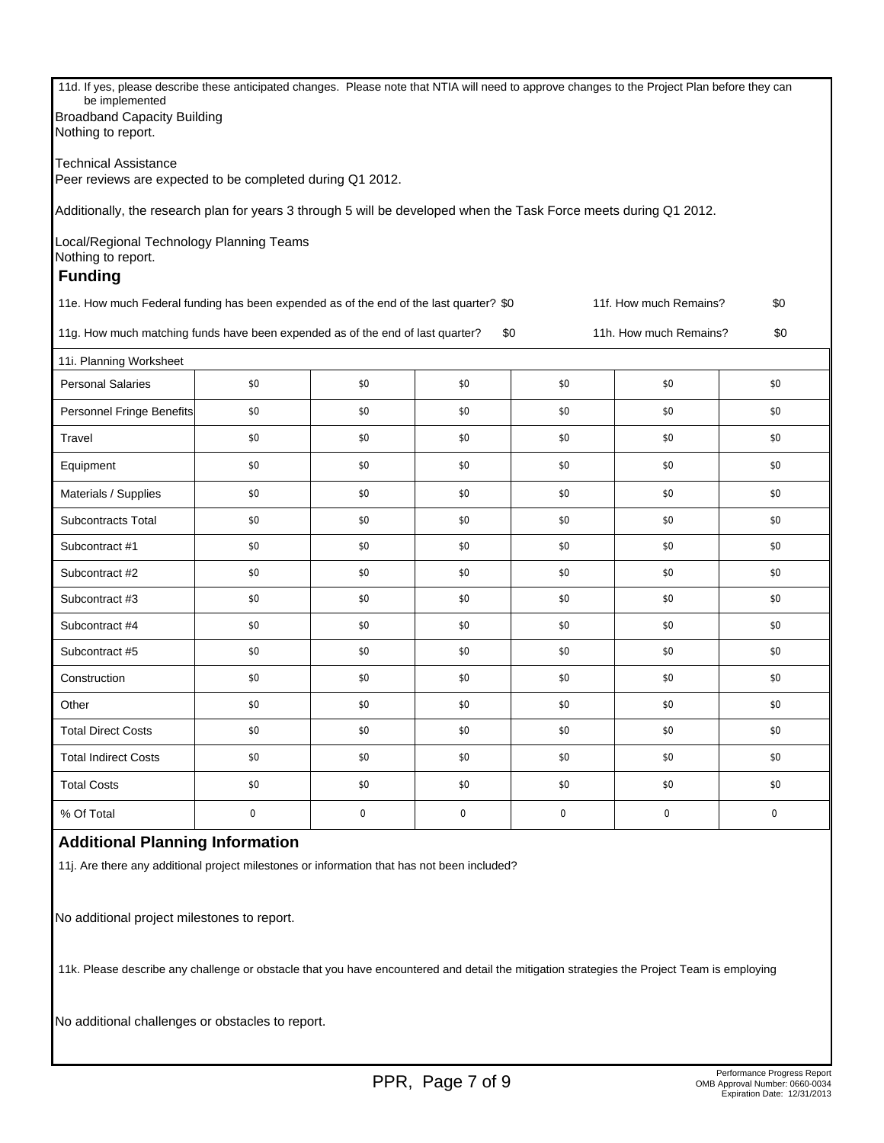11d. If yes, please describe these anticipated changes. Please note that NTIA will need to approve changes to the Project Plan before they can be implemented Broadband Capacity Building Nothing to report. Technical Assistance Peer reviews are expected to be completed during Q1 2012. Additionally, the research plan for years 3 through 5 will be developed when the Task Force meets during Q1 2012. Local/Regional Technology Planning Teams Nothing to report.  **Funding** 11e. How much Federal funding has been expended as of the end of the last quarter? \$0 11f. How much Remains? \$0 11g. How much matching funds have been expended as of the end of last quarter? \$0 11h. How much Remains? \$0 11i. Planning Worksheet Personal Salaries | \$0 | \$0 | \$0 \$0 \$0 \$0 \$0 \$0 \$0 \$0 \$0 \$1 Personnel Fringe Benefits  $\begin{array}{ccc} 1 & 0 & 0 \\ 0 & 0 & 0 \end{array}$  \$0 \$0 \$0 \$0 \$0 \$0 \$0 Travel \$0 \$0 \$0 \$0 \$0 \$0 \$0 \$0 \$0 \$0 \$0 \$0 Equipment \$0 \$0 \$0 \$0 \$0 \$0 Materials / Supplies | \$0 \$0 \$0 \$0 \$0 \$0 \$0 \$0 \$0 \$0 \$0 \$0 \$1 Subcontracts Total \$0 \$0 \$0 \$0 \$0 \$0 Subcontract #1 \$0 \$0 \$0 \$0 \$0 \$0 Subcontract #2 \$0 \$0 \$0 \$0 \$0 \$0 Subcontract #3 \$0 \$0 \$0 \$0 \$0 \$0 Subcontract #4 \$0 \$0 \$0 \$0 \$0 \$0 Subcontract #5 \$0 \$0 \$0 \$0 \$0 \$0 Construction \$0 \$0 \$0 \$0 \$0 \$0 Other 50 \$0 \$0 \$0 \$0 \$0 \$0 \$0 \$0 \$0 \$0 \$0 Total Direct Costs \$0 \$0 \$0 \$0 \$0 \$0 Total Indirect Costs \$0 \$0 \$0 \$0 \$0 \$0 Total Costs \$0 \$0 \$0 \$0 \$0 \$0 % Of Total 0 0 0 0 0 0

## **Additional Planning Information**

11j. Are there any additional project milestones or information that has not been included?

No additional project milestones to report.

11k. Please describe any challenge or obstacle that you have encountered and detail the mitigation strategies the Project Team is employing

No additional challenges or obstacles to report.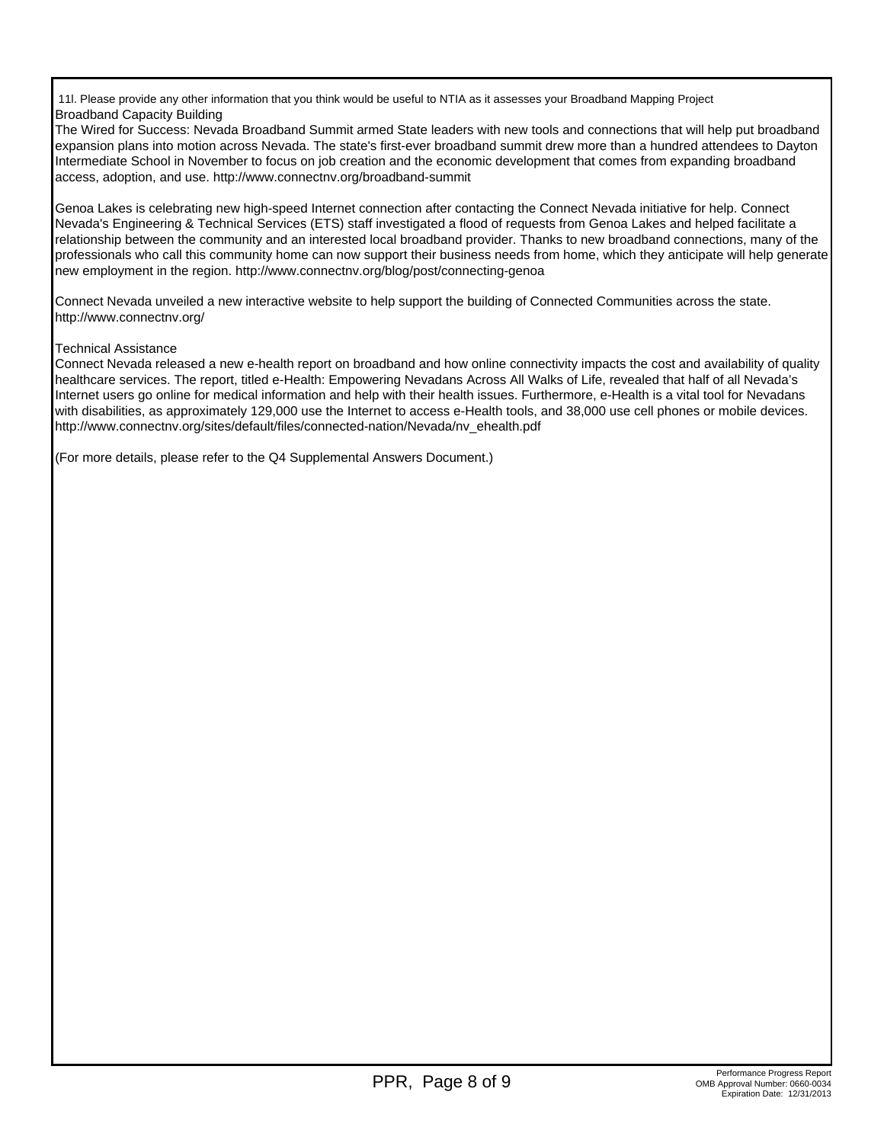11l. Please provide any other information that you think would be useful to NTIA as it assesses your Broadband Mapping Project Broadband Capacity Building

The Wired for Success: Nevada Broadband Summit armed State leaders with new tools and connections that will help put broadband expansion plans into motion across Nevada. The state's first-ever broadband summit drew more than a hundred attendees to Dayton Intermediate School in November to focus on job creation and the economic development that comes from expanding broadband access, adoption, and use. http://www.connectnv.org/broadband-summit

Genoa Lakes is celebrating new high-speed Internet connection after contacting the Connect Nevada initiative for help. Connect Nevada's Engineering & Technical Services (ETS) staff investigated a flood of requests from Genoa Lakes and helped facilitate a relationship between the community and an interested local broadband provider. Thanks to new broadband connections, many of the professionals who call this community home can now support their business needs from home, which they anticipate will help generate new employment in the region. http://www.connectnv.org/blog/post/connecting-genoa

Connect Nevada unveiled a new interactive website to help support the building of Connected Communities across the state. http://www.connectnv.org/

## Technical Assistance

Connect Nevada released a new e-health report on broadband and how online connectivity impacts the cost and availability of quality healthcare services. The report, titled e-Health: Empowering Nevadans Across All Walks of Life, revealed that half of all Nevada's Internet users go online for medical information and help with their health issues. Furthermore, e-Health is a vital tool for Nevadans with disabilities, as approximately 129,000 use the Internet to access e-Health tools, and 38,000 use cell phones or mobile devices. http://www.connectnv.org/sites/default/files/connected-nation/Nevada/nv\_ehealth.pdf

(For more details, please refer to the Q4 Supplemental Answers Document.)